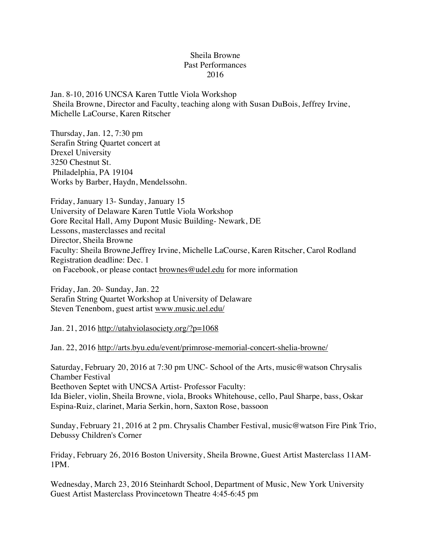## Sheila Browne Past Performances 2016

Jan. 8-10, 2016 UNCSA Karen Tuttle Viola Workshop Sheila Browne, Director and Faculty, teaching along with Susan DuBois, Jeffrey Irvine, Michelle LaCourse, Karen Ritscher

Thursday, Jan. 12, 7:30 pm Serafin String Quartet concert at Drexel University 3250 Chestnut St. Philadelphia, PA 19104 Works by Barber, Haydn, Mendelssohn.

Friday, January 13- Sunday, January 15 University of Delaware Karen Tuttle Viola Workshop Gore Recital Hall, Amy Dupont Music Building- Newark, DE Lessons, masterclasses and recital Director, Sheila Browne Faculty: Sheila Browne,Jeffrey Irvine, Michelle LaCourse, Karen Ritscher, Carol Rodland Registration deadline: Dec. 1 on Facebook, or please contact brownes@udel.edu for more information

Friday, Jan. 20- Sunday, Jan. 22 Serafin String Quartet Workshop at University of Delaware Steven Tenenbom, guest artist www.music.uel.edu/

Jan. 21, 2016 http://utahviolasociety.org/?p=1068

Jan. 22, 2016 http://arts.byu.edu/event/primrose-memorial-concert-shelia-browne/

Saturday, February 20, 2016 at 7:30 pm UNC- School of the Arts, music@watson Chrysalis Chamber Festival

Beethoven Septet with UNCSA Artist- Professor Faculty:

Ida Bieler, violin, Sheila Browne, viola, Brooks Whitehouse, cello, Paul Sharpe, bass, Oskar Espina-Ruiz, clarinet, Maria Serkin, horn, Saxton Rose, bassoon

Sunday, February 21, 2016 at 2 pm. Chrysalis Chamber Festival, music@watson Fire Pink Trio, Debussy Children's Corner

Friday, February 26, 2016 Boston University, Sheila Browne, Guest Artist Masterclass 11AM-1PM.

Wednesday, March 23, 2016 Steinhardt School, Department of Music, New York University Guest Artist Masterclass Provincetown Theatre 4:45-6:45 pm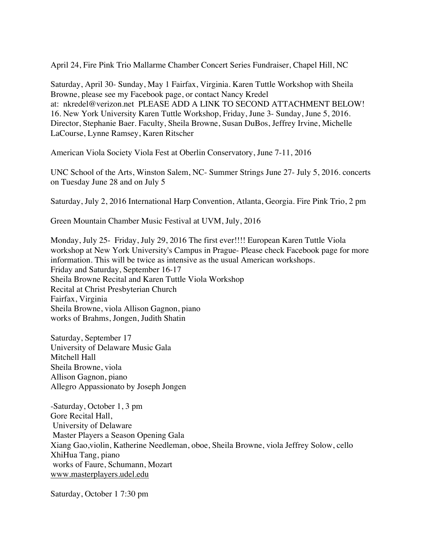April 24, Fire Pink Trio Mallarme Chamber Concert Series Fundraiser, Chapel Hill, NC

Saturday, April 30- Sunday, May 1 Fairfax, Virginia. Karen Tuttle Workshop with Sheila Browne, please see my Facebook page, or contact Nancy Kredel at: nkredel@verizon.net PLEASE ADD A LINK TO SECOND ATTACHMENT BELOW! 16. New York University Karen Tuttle Workshop, Friday, June 3- Sunday, June 5, 2016. Director, Stephanie Baer. Faculty, Sheila Browne, Susan DuBos, Jeffrey Irvine, Michelle LaCourse, Lynne Ramsey, Karen Ritscher

American Viola Society Viola Fest at Oberlin Conservatory, June 7-11, 2016

UNC School of the Arts, Winston Salem, NC- Summer Strings June 27- July 5, 2016. concerts on Tuesday June 28 and on July 5

Saturday, July 2, 2016 International Harp Convention, Atlanta, Georgia. Fire Pink Trio, 2 pm

Green Mountain Chamber Music Festival at UVM, July, 2016

Monday, July 25- Friday, July 29, 2016 The first ever!!!! European Karen Tuttle Viola workshop at New York University's Campus in Prague- Please check Facebook page for more information. This will be twice as intensive as the usual American workshops. Friday and Saturday, September 16-17 Sheila Browne Recital and Karen Tuttle Viola Workshop Recital at Christ Presbyterian Church Fairfax, Virginia Sheila Browne, viola Allison Gagnon, piano works of Brahms, Jongen, Judith Shatin

Saturday, September 17 University of Delaware Music Gala Mitchell Hall Sheila Browne, viola Allison Gagnon, piano Allegro Appassionato by Joseph Jongen

-Saturday, October 1, 3 pm Gore Recital Hall, University of Delaware Master Players a Season Opening Gala Xiang Gao,violin, Katherine Needleman, oboe, Sheila Browne, viola Jeffrey Solow, cello XhiHua Tang, piano works of Faure, Schumann, Mozart www.masterplayers.udel.edu

Saturday, October 1 7:30 pm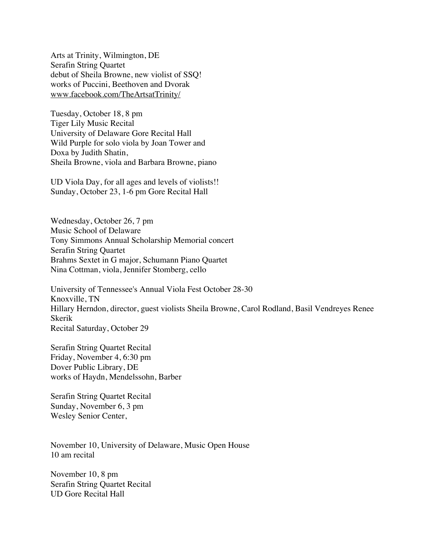Arts at Trinity, Wilmington, DE Serafin String Quartet debut of Sheila Browne, new violist of SSQ! works of Puccini, Beethoven and Dvorak www.facebook.com/TheArtsatTrinity/

Tuesday, October 18, 8 pm Tiger Lily Music Recital University of Delaware Gore Recital Hall Wild Purple for solo viola by Joan Tower and Doxa by Judith Shatin, Sheila Browne, viola and Barbara Browne, piano

UD Viola Day, for all ages and levels of violists!! Sunday, October 23, 1-6 pm Gore Recital Hall

Wednesday, October 26, 7 pm Music School of Delaware Tony Simmons Annual Scholarship Memorial concert Serafin String Quartet Brahms Sextet in G major, Schumann Piano Quartet Nina Cottman, viola, Jennifer Stomberg, cello

University of Tennessee's Annual Viola Fest October 28-30 Knoxville, TN Hillary Herndon, director, guest violists Sheila Browne, Carol Rodland, Basil Vendreyes Renee Skerik Recital Saturday, October 29

Serafin String Quartet Recital Friday, November 4, 6:30 pm Dover Public Library, DE works of Haydn, Mendelssohn, Barber

Serafin String Quartet Recital Sunday, November 6, 3 pm Wesley Senior Center,

November 10, University of Delaware, Music Open House 10 am recital

November 10, 8 pm Serafin String Quartet Recital UD Gore Recital Hall